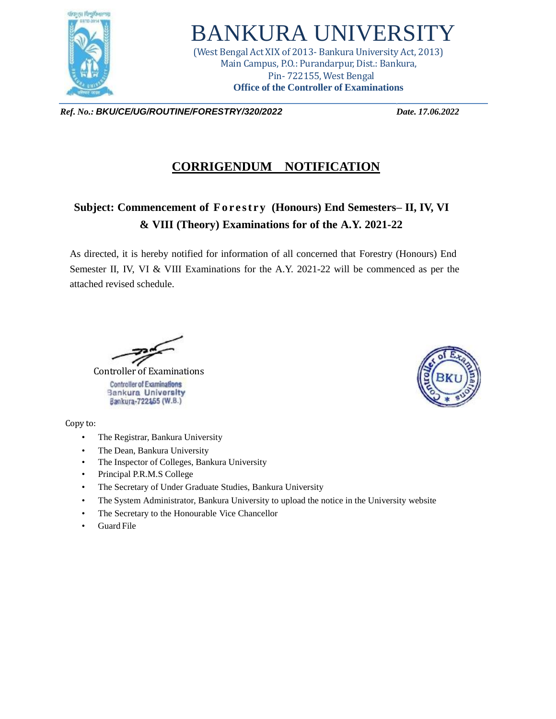

## BANKURA UNIVERSITY

(West Bengal Act XIX of 2013- Bankura University Act, 2013) Main Campus, P.O.: Purandarpur, Dist.: Bankura, Pin- 722155, West Bengal **Office of the Controller of Examinations**

*Ref. No.: BKU/CE/UG/ROUTINE/FORESTRY/320/2022 Date. 17.06.2022*

## **CORRIGENDUM NOTIFICATION**

## **Subject: Commencement of Fo r e st ry (Honours) End Semesters– II, IV, VI & VIII (Theory) Examinations for of the A.Y. 2021-22**

As directed, it is hereby notified for information of all concerned that Forestry (Honours) End Semester II, IV, VI & VIII Examinations for the A.Y. 2021-22 will be commenced as per the attached revised schedule.

 Controller of Examinations **Controller of Examinations Bankura University** Bankura-722155 (W.B.)

Copy to:

- The Registrar, Bankura University
- The Dean, Bankura University
- The Inspector of Colleges, Bankura University
- Principal P.R.M.S College
- The Secretary of Under Graduate Studies, Bankura University
- The System Administrator, Bankura University to upload the notice in the University website
- The Secretary to the Honourable Vice Chancellor
- Guard File